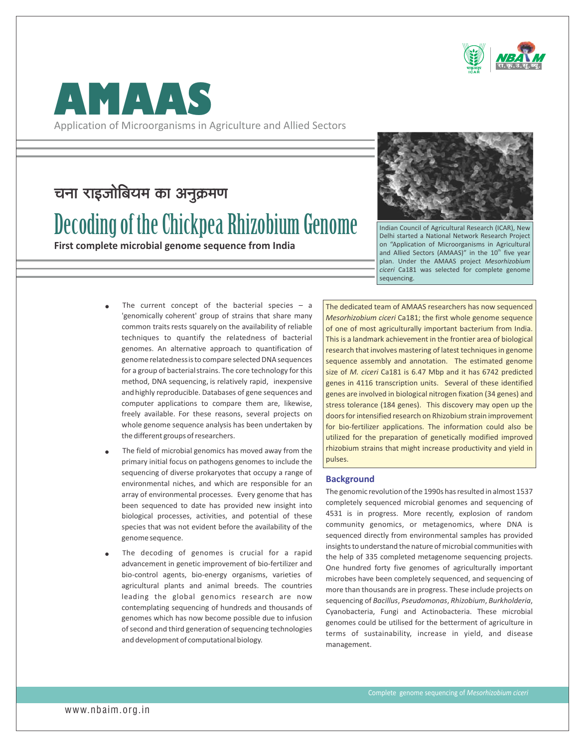



Application of Microorganisms in Agriculture and Allied Sectors

# चना राइजोबियम का अनुक्रमण

# Decoding of the Chickpea Rhizobium Genome

**First complete microbial genome sequence from India**



Indian Council of Agricultural Research (ICAR), New Delhi started a National Network Research Project on "Application of Microorganisms in Agricultural and Allied Sectors (AMAAS)" in the 10<sup>th</sup> five year plan. Under the AMAAS project *Mesorhizobium ciceri* Ca181 was selected for complete genome sequencing.

- The current concept of the bacterial species  $-$  a 'genomically coherent' group of strains that share many common traits rests squarely on the availability of reliable techniques to quantify the relatedness of bacterial genomes. An alternative approach to quantification of genome relatednessis to compare selected DNA sequences for a group of bacterial strains. The core technology for this method, DNA sequencing, is relatively rapid, inexpensive and highly reproducible. Databases of gene sequences and computer applications to compare them are, likewise, freely available. For these reasons, several projects on whole genome sequence analysis has been undertaken by the different groups of researchers.
- The field of microbial genomics has moved away from the primary initial focus on pathogens genomes to include the sequencing of diverse prokaryotes that occupy a range of environmental niches, and which are responsible for an array of environmental processes. Every genome that has been sequenced to date has provided new insight into biological processes, activities, and potential of these species that was not evident before the availability of the genome sequence.  $\bullet$
- The decoding of genomes is crucial for a rapid advancement in genetic improvement of bio-fertilizer and bio-control agents, bio-energy organisms, varieties of agricultural plants and animal breeds. The countries leading the global genomics research are now contemplating sequencing of hundreds and thousands of genomes which has now become possible due to infusion of second and third generation of sequencing technologies and development of computational biology.  $\bullet$

The dedicated team of AMAAS researchers has now sequenced *Mesorhizobium ciceri* Ca181; the first whole genome sequence of one of most agriculturally important bacterium from India. This is a landmark achievement in the frontier area of biological research that involves mastering of latest techniques in genome sequence assembly and annotation. The estimated genome size of *M. ciceri* Ca181 is 6.47 Mbp and it has 6742 predicted genes in 4116 transcription units. Several of these identified genes are involved in biological nitrogen fixation (34 genes) and stress tolerance (184 genes). This discovery may open up the doors for intensified research on Rhizobium strain improvement for bio-fertilizer applications. The information could also be utilized for the preparation of genetically modified improved rhizobium strains that might increase productivity and yield in pulses.

#### **Background**

The genomic revolution of the 1990s has resulted in almost 1537 completely sequenced microbial genomes and sequencing of 4531 is in progress. More recently, explosion of random community genomics, or metagenomics, where DNA is sequenced directly from environmental samples has provided insights to understand the nature of microbial communities with the help of 335 completed metagenome sequencing projects. One hundred forty five genomes of agriculturally important microbes have been completely sequenced, and sequencing of more than thousands are in progress. These include projects on sequencing of *Bacillus*, *Pseudomonas*, *Rhizobium*, *Burkholderia*, Cyanobacteria, Fungi and Actinobacteria. These microbial genomes could be utilised for the betterment of agriculture in terms of sustainability, increase in yield, and disease management.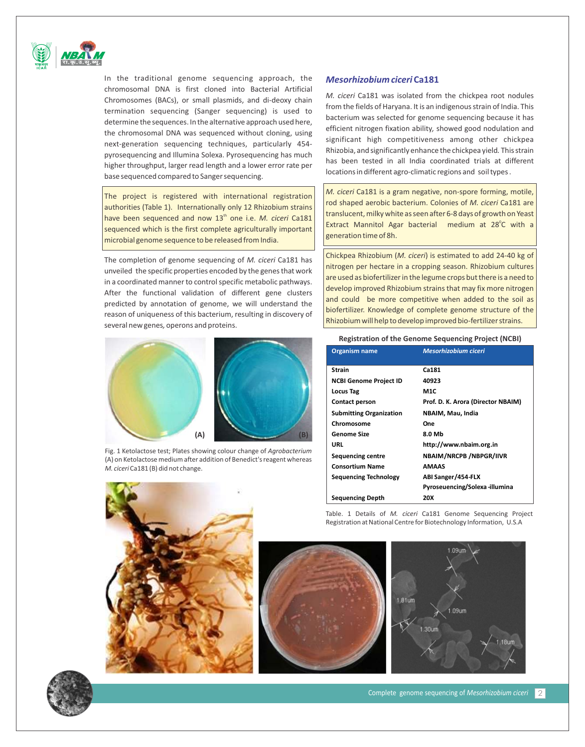

In the traditional genome sequencing approach, the chromosomal DNA is first cloned into Bacterial Artificial Chromosomes (BACs), or small plasmids, and di-deoxy chain termination sequencing (Sanger sequencing) is used to determine the sequences. In the alternative approach used here, the chromosomal DNA was sequenced without cloning, using next-generation sequencing techniques, particularly 454 pyrosequencing and Illumina Solexa. Pyrosequencing has much higher throughput, larger read length and a lower error rate per base sequenced compared to Sanger sequencing.

The project is registered with international registration authorities (Table 1). Internationally only 12 Rhizobium strains have been sequenced and now 13<sup>th</sup> one i.e. M. ciceri Ca181 sequenced which is the first complete agriculturally important microbial genome sequence to be released from India.

The completion of genome sequencing of *M. ciceri* Ca181 has unveiled the specific properties encoded by the genes that work in a coordinated manner to control specific metabolic pathways. After the functional validation of different gene clusters predicted by annotation of genome, we will understand the reason of uniqueness of this bacterium, resulting in discovery of several newgenes*,* operons and proteins.



Fig. 1 Ketolactose test; Plates showing colour change of *Agrobacterium* (A) on Ketolactose medium after addition of Benedict's reagent whereas *M. ciceri* Ca181 (B) did not change.



## *Mesorhizobium ciceri* **Ca181**

*M. ciceri* Ca181 was isolated from the chickpea root nodules from the fields of Haryana. It is an indigenous strain of India. This bacterium was selected for genome sequencing because it has efficient nitrogen fixation ability*,* showed good nodulation and significant high competitiveness among other chickpea Rhizobia, and significantly enhance the chickpea yield*.* This strain has been tested in all India coordinated trials at different locations in different agro-climatic regions and soil types .

*M. ciceri* Ca181 is a gram negative, non-spore forming, motile, rod shaped aerobic bacterium. Colonies of *M. ciceri* Ca181 are translucent, milky white as seen after 6-8 days of growth on Yeast Extract Mannitol Agar bacterial medium at 28<sup>°</sup>C with a generation time of 8h.

Chickpea Rhizobium (*M. ciceri*) is estimated to add 24-40 kg of nitrogen per hectare in a cropping season. Rhizobium cultures are used as biofertilizer in the legume crops but there is a need to develop improved Rhizobium strains that may fix more nitrogen and could be more competitive when added to the soil as biofertilizer. Knowledge of complete genome structure of the Rhizobium will help to develop improved bio-fertilizer strains.

**Registration of the Genome Sequencing Project (NCBI)**

| <b>Organism name</b>           | Mesorhizobium ciceri               |
|--------------------------------|------------------------------------|
| <b>Strain</b>                  | <b>Ca181</b>                       |
| <b>NCBI Genome Project ID</b>  | 40923                              |
| <b>Locus Tag</b>               | M1C                                |
| <b>Contact person</b>          | Prof. D. K. Arora (Director NBAIM) |
| <b>Submitting Organization</b> | NBAIM, Mau, India                  |
| Chromosome                     | One                                |
| Genome Size                    | 8.0 Mb                             |
| URL                            | http://www.nbaim.org.in            |
| <b>Sequencing centre</b>       | NBAIM/NRCPB /NBPGR/IIVR            |
| <b>Consortium Name</b>         | AMAAS                              |
| <b>Sequencing Technology</b>   | ABI Sanger/454-FLX                 |
|                                | Pyroseuencing/Solexa-illumina      |
| <b>Sequencing Depth</b>        | 20X                                |

Table. 1 Details of *M. ciceri* Ca181 Genome Sequencing Project Registration at National Centre for Biotechnology Information, U.S.A





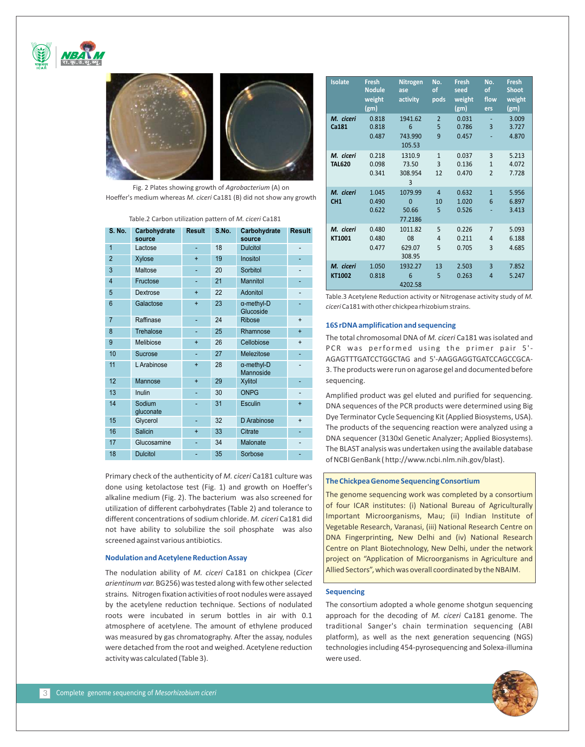





Fig. 2 Plates showing growth of *Agrobacterium* (A) on Hoeffer's medium whereas *M. ciceri* Ca181 (B) did not show any growth

Table.2 Carbon utilization pattern of *M. ciceri* Ca181

| <b>S. No.</b>  | Carbohydrate<br>source | <b>Result</b> | S.No. | Carbohydrate<br>source          | <b>Result</b>  |
|----------------|------------------------|---------------|-------|---------------------------------|----------------|
| $\overline{1}$ | Lactose                | ÷             | 18    | <b>Dulcitol</b>                 | $\overline{a}$ |
| $\overline{2}$ | Xylose                 | $\ddot{}$     | 19    | Inositol                        |                |
| 3              | Maltose                | ÷             | 20    | Sorbitol                        |                |
| $\overline{4}$ | Fructose               |               | 21    | <b>Mannitol</b>                 |                |
| 5              | Dextrose               | $\ddot{}$     | 22    | Adonitol                        |                |
| 6              | Galactose              | $\ddot{}$     | 23    | $\alpha$ -methyl-D<br>Glucoside |                |
| $\overline{7}$ | Raffinase              | ä,            | 24    | <b>Ribose</b>                   | $+$            |
| 8              | <b>Trehalose</b>       | ÷,            | 25    | Rhamnose                        | $\ddot{}$      |
| 9              | Melibiose              | $\ddot{}$     | 26    | Cellobiose                      | $\ddot{}$      |
| 10             | <b>Sucrose</b>         | ä,            | 27    | Melezitose                      |                |
| 11             | L Arabinose            | $\ddot{}$     | 28    | $\alpha$ -methyl-D<br>Mannoside |                |
| 12             | Mannose                | $+$           | 29    | <b>Xylitol</b>                  | ٠              |
| 13             | Inulin                 |               | 30    | <b>ONPG</b>                     |                |
| 14             | Sodium<br>gluconate    |               | 31    | <b>Esculin</b>                  | $\ddot{}$      |
| 15             | Glycerol               |               | 32    | D Arabinose                     | $\ddot{}$      |
| 16             | Salicin                | $\ddot{}$     | 33    | <b>Citrate</b>                  |                |
| 17             | Glucosamine            | ÷             | 34    | Malonate                        |                |
| 18             | <b>Dulcitol</b>        |               | 35    | Sorbose                         |                |

Primary check of the authenticity of *M. ciceri* Ca181 culture was done using ketolactose test (Fig. 1) and growth on Hoeffer's alkaline medium (Fig. 2). The bacterium was also screened for utilization of different carbohydrates (Table 2) and tolerance to different concentrations of sodium chloride. *M. ciceri* Ca181 did not have ability to solubilize the soil phosphate was also screened against various antibiotics.

#### **Nodulation and Acetylene Reduction Assay**

The nodulation ability of *M. ciceri* Ca181 on chickpea (*Cicer arientinum var.* BG256) was tested along with few other selected strains*.* Nitrogen fixation activities of root nodules were assayed by the acetylene reduction technique. Sections of nodulated roots were incubated in serum bottles in air with 0.1 atmosphere of acetylene. The amount of ethylene produced was measured by gas chromatography. After the assay, nodules were detached from the root and weighed. Acetylene reduction activity was calculated (Table 3).

| <b>Isolate</b>               | <b>Fresh</b><br><b>Nodule</b><br>weight<br>(g <sub>m</sub> ) | <b>Nitrogen</b><br>ase<br>activity            | No.<br>of<br>pods         | Fresh<br>seed<br>weight<br>(g <sub>m</sub> ) | No.<br>of<br>flow<br>ers            | <b>Fresh</b><br><b>Shoot</b><br>weight<br>(gm) |
|------------------------------|--------------------------------------------------------------|-----------------------------------------------|---------------------------|----------------------------------------------|-------------------------------------|------------------------------------------------|
| M. ciceri<br>Ca181           | 0.818<br>0.818<br>0.487                                      | 1941.62<br>6<br>743.990<br>105.53             | $\overline{2}$<br>5<br>9  | 0.031<br>0.786<br>0.457                      | $\overline{3}$                      | 3.009<br>3.727<br>4.870                        |
| M. ciceri<br><b>TAL620</b>   | 0.218<br>0.098<br>0.341                                      | 1310.9<br>73.50<br>308.954<br>3               | $\mathbf{1}$<br>3<br>12   | 0.037<br>0.136<br>0.470                      | 3<br>$\mathbf{1}$<br>$\mathfrak{p}$ | 5.213<br>4.072<br>7.728                        |
| M. ciceri<br>CH <sub>1</sub> | 1.045<br>0.490<br>0.622                                      | 1079.99<br>$\overline{0}$<br>50.66<br>77.2186 | $\overline{4}$<br>10<br>5 | 0.632<br>1.020<br>0.526                      | $\overline{1}$<br>$6\overline{6}$   | 5.956<br>6.897<br>3.413                        |
| M. ciceri<br>KT1001          | 0.480<br>0.480<br>0.477                                      | 1011.82<br>08<br>629.07<br>308.95             | 5<br>$\overline{4}$<br>5  | 0.226<br>0.211<br>0.705                      | $\overline{7}$<br>4<br>3            | 5.093<br>6.188<br>4.685                        |
| M. ciceri<br>KT1002          | 1.050<br>0.818                                               | 1932.27<br>6<br>4202.58                       | 13<br>5                   | 2.503<br>0.263                               | $\overline{3}$<br>4                 | 7.852<br>5.247                                 |

Table.3 Acetylene Reduction activity or Nitrogenase activity study of *M. ciceri* Ca181 with other chickpea rhizobium strains.

#### **16S rDNA amplification and sequencing**

The total chromosomal DNA of *M. ciceri* Ca181 was isolated and PCR was performed using the primer pair 5'-AGAGTTTGATCCTGGCTAG and 5'-AAGGAGGTGATCCAGCCGCA-3. The products were run on agarose gel and documented before sequencing.

Amplified product was gel eluted and purified for sequencing. DNA sequences of the PCR products were determined using Big Dye Terminator Cycle Sequencing Kit (Applied Biosystems, USA). The products of the sequencing reaction were analyzed using a DNA sequencer (3130xl Genetic Analyzer; Applied Biosystems). The BLAST analysis was undertaken using the available database of NCBI GenBank ( http://www.ncbi.nlm.nih.gov/blast).

#### **The Chickpea Genome Sequencing Consortium**

The genome sequencing work was completed by a consortium of four ICAR institutes: (i) National Bureau of Agriculturally Important Microorganisms, Mau; (ii) Indian Institute of Vegetable Research, Varanasi, (iii) National Research Centre on DNA Fingerprinting, New Delhi and (iv) National Research Centre on Plant Biotechnology, New Delhi, under the network project on "Application of Microorganisms in Agriculture and Allied Sectors", which was overall coordinated by the NBAIM.

#### **Sequencing**

The consortium adopted a whole genome shotgun sequencing approach for the decoding of *M. ciceri* Ca181 genome. The traditional Sanger's chain termination sequencing (ABI platform), as well as the next generation sequencing (NGS) technologies including 454-pyrosequencing and Solexa-illumina were used.

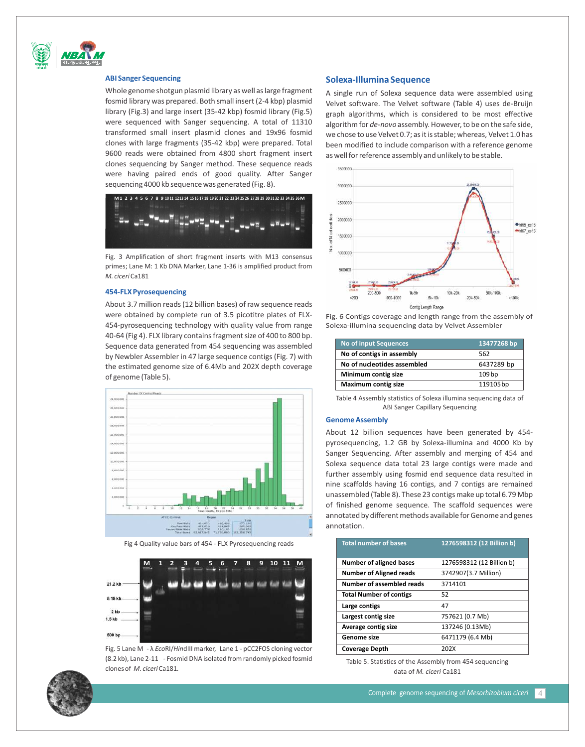

#### **ABI Sanger Sequencing**

Whole genome shotgun plasmid library as well as large fragment fosmid library was prepared. Both small insert (2-4 kbp) plasmid library (Fig.3) and large insert (35-42 kbp) fosmid library (Fig.5) were sequenced with Sanger sequencing. A total of 11310 transformed small insert plasmid clones and 19x96 fosmid clones with large fragments (35-42 kbp) were prepared. Total 9600 reads were obtained from 4800 short fragment insert clones sequencing by Sanger method. These sequence reads were having paired ends of good quality. After Sanger sequencing 4000 kb sequence was generated (Fig. 8).



Fig. 3 Amplification of short fragment inserts with M13 consensus primes; Lane M: 1 Kb DNA Marker, Lane 1-36 is amplified product from *M. ciceri* Ca181

#### **454-FLX Pyrosequencing**

About 3.7 million reads (12 billion bases) of raw sequence reads were obtained by complete run of 3.5 picotitre plates of FLX-454-pyrosequencing technology with quality value from range 40-64 (Fig 4). FLX library contains fragment size of 400 to 800 bp. Sequence data generated from 454 sequencing was assembled by Newbler Assembler in 47 large sequence contigs (Fig. 7) with the estimated genome size of 6.4Mb and 202X depth coverage of genome (Table 5).



Fig 4 Quality value bars of 454 - FLX Pyrosequencing reads



Fig. 5 Lane M - λ *Eco*RI/*Hin*dIII marker, Lane 1 - pCC2FOS cloning vector (8.2 kb), Lane 2-11 - Fosmid DNA isolated from randomly picked fosmid clones of *M. ciceri* Ca181*.*

#### **Solexa-Illumina Sequence**

A single run of Solexa sequence data were assembled using Velvet software. The Velvet software (Table 4) uses de-Bruijn graph algorithms, which is considered to be most effective algorithm for *de-novo* assembly. However, to be on the safe side, we chose to use Velvet 0.7; as it is stable; whereas, Velvet 1.0 has been modified to include comparison with a reference genome as well for reference assembly and unlikely to be stable.



Fig. 6 Contigs coverage and length range from the assembly of Solexa-illumina sequencing data by Velvet Assembler

| No of input Sequences       | 13477268 bp       |
|-----------------------------|-------------------|
| No of contigs in assembly   | 562               |
| No of nucleotides assembled | 6437289 bp        |
| Minimum contig size         | 109 <sub>bp</sub> |
| <b>Maximum contig size</b>  | 119105bp          |

Table 4 Assembly statistics of Solexa illumina sequencing data of ABI Sanger Capillary Sequencing

#### **Genome Assembly**

About 12 billion sequences have been generated by 454 pyrosequencing, 1.2 GB by Solexa-illumina and 4000 Kb by Sanger Sequencing. After assembly and merging of 454 and Solexa sequence data total 23 large contigs were made and further assembly using fosmid end sequence data resulted in nine scaffolds having 16 contigs, and 7 contigs are remained unassembled (Table 8). These 23 contigs make up total 6.79 Mbp of finished genome sequence. The scaffold sequences were annotated by different methods available for Genome and genes annotation.

| <b>Total number of bases</b>   | 1276598312 (12 Billion b) |  |  |
|--------------------------------|---------------------------|--|--|
|                                |                           |  |  |
| <b>Number of aligned bases</b> | 1276598312 (12 Billion b) |  |  |
| <b>Number of Aligned reads</b> | 3742907(3.7 Million)      |  |  |
| Number of assembled reads      | 3714101                   |  |  |
| <b>Total Number of contigs</b> | 52                        |  |  |
| Large contigs                  | 47                        |  |  |
| Largest contig size            | 757621 (0.7 Mb)           |  |  |
| Average contig size            | 137246 (0.13Mb)           |  |  |
| Genome size                    | 6471179 (6.4 Mb)          |  |  |
| <b>Coverage Depth</b>          | 202X                      |  |  |

Table 5. Statistics of the Assembly from 454 sequencing data of *M. ciceri* Ca181

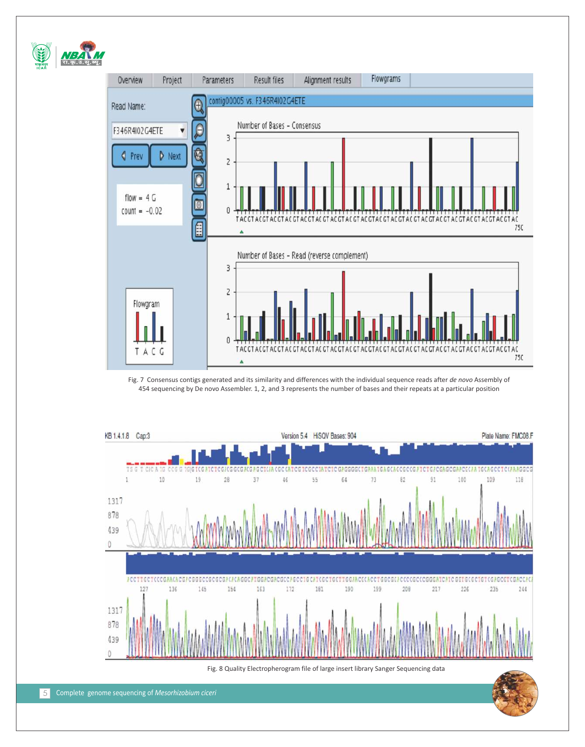

Fig. 7 Consensus contigs generated and its similarity and differences with the individual sequence reads after *de novo* Assembly of 454 sequencing by De novo Assembler. 1, 2, and 3 represents the number of bases and their repeats at a particular position

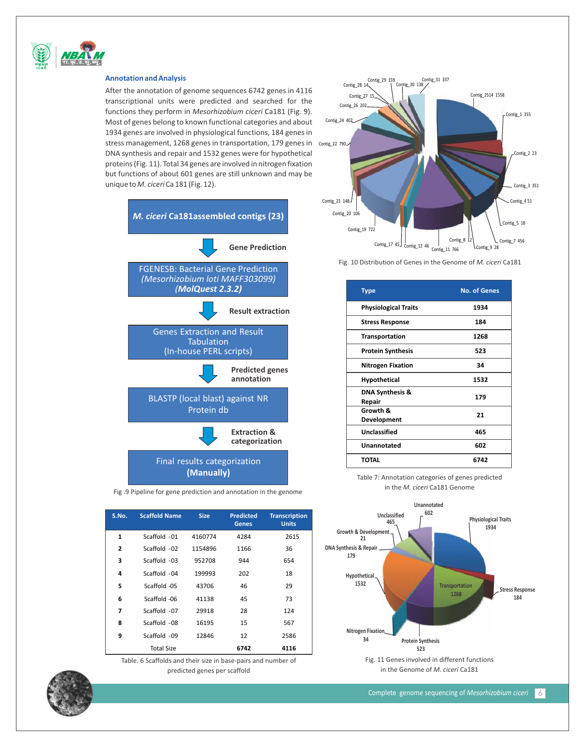

#### **Annotation and Analysis**

After the annotation of genome sequences 6742 genes in 4116 transcriptional units were predicted and searched for the functions they perform in *Mesorhizobium ciceri* Ca181 (Fig. 9). Most of genes belong to known functional categories and about 1934 genes are involved in physiological functions, 184 genes in stress management, 1268 genes in transportation, 179 genes in contig\_22 790 DNA synthesis and repair and 1532 genes were for hypothetical proteins (Fig. 11). Total 34 genes are involved in nitrogen fixation but functions of about 601 genes are still unknown and may be unique to *M. ciceri* Ca 181 (Fig. 12).





Fig. 10 Distribution of Genes in the Genome of *M. ciceri* Ca181

| <b>Type</b>                          | <b>No. of Genes</b> |  |  |
|--------------------------------------|---------------------|--|--|
| <b>Physiological Traits</b>          | 1934                |  |  |
| <b>Stress Response</b>               | 184                 |  |  |
| <b>Transportation</b>                | 1268                |  |  |
| <b>Protein Synthesis</b>             | 523                 |  |  |
| <b>Nitrogen Fixation</b>             | 34                  |  |  |
| <b>Hypothetical</b>                  | 1532                |  |  |
| <b>DNA Synthesis &amp;</b><br>Repair | 179                 |  |  |
| Growth &<br>Development              | 21                  |  |  |
| Unclassified                         | 465                 |  |  |
| Unannotated                          | 602                 |  |  |
| TOTAL                                | 6742                |  |  |

Table 7: Annotation categories of genes predicted in the *M. ciceri* Ca181 Genome



|   |                   |         | <b>Genes</b> | <b>Units</b> |
|---|-------------------|---------|--------------|--------------|
| 1 | Scaffold -01      | 4160774 | 4284         | 2615         |
| 2 | Scaffold -02      | 1154896 | 1166         | 36           |
| 3 | Scaffold -03      | 952708  | 944          | 654          |
| 4 | Scaffold -04      | 199993  | 202          | 18           |
| 5 | Scaffold -05      | 43706   | 46           | 29           |
| 6 | Scaffold -06      | 41138   | 45           | 73           |
| 7 | Scaffold -07      | 29918   | 28           | 124          |
| 8 | Scaffold -08      | 16195   | 15           | 567          |
| 9 | Scaffold -09      | 12846   | 12           | 2586         |
|   | <b>Total Size</b> |         | 6742         | 4116         |

Fig .9 Pipeline for gene prediction and annotation in the genome

**Transcription**

Table. 6 Scaffolds and their size in base-pairs and number of predicted genes per scaffold

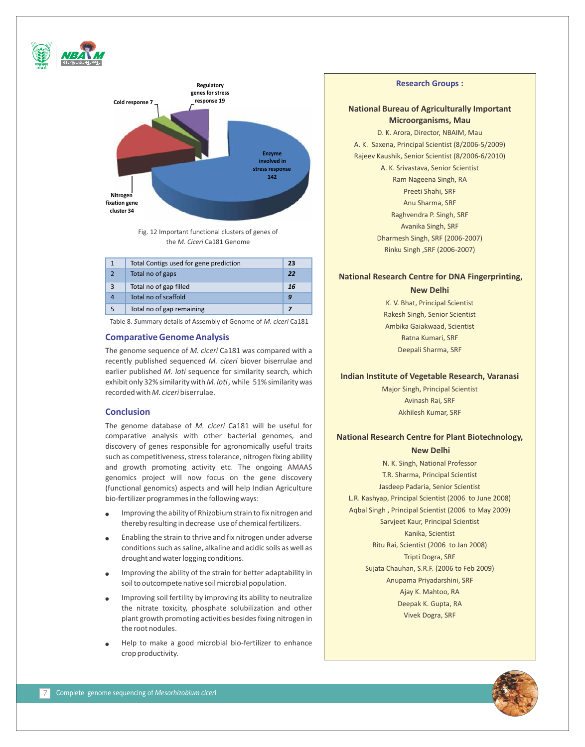

Fig. 12 Important functional clusters of genes of the *M. Ciceri* Ca181 Genome

|   | Total Contigs used for gene prediction | 23 |
|---|----------------------------------------|----|
|   | Total no of gaps                       | 22 |
| з | Total no of gap filled                 | 16 |
|   | Total no of scaffold                   |    |
|   | Total no of gap remaining              |    |

Table 8. *S*ummary details of Assembly of Genome of *M. ciceri* Ca181

#### **Comparative Genome Analysis**

The genome sequence of *M. ciceri* Ca181 was compared with a recently published sequenced *M. ciceri* biover biserrulae and earlier published *M. loti* sequence for similarity search*,* which exhibit only 32% similarity with *M. loti ,* while 51% similarity was recorded with *M. ciceri* biserrulae.

#### **Conclusion**

The genome database of *M. ciceri* Ca181 will be useful for comparative analysis with other bacterial genomes*,* and discovery of genes responsible for agronomically useful traits such as competitiveness, stress tolerance, nitrogen fixing ability and growth promoting activity etc. The ongoing AMAAS genomics project will now focus on the gene discovery (functional genomics) aspects and will help Indian Agriculture bio-fertilizer programmes in the following ways:

- Improving the ability of Rhizobium strain to fix nitrogen and thereby resulting in decrease use of chemical fertilizers. l
- Enabling the strain to thrive and fix nitrogen under adverse conditions such as saline, alkaline and acidic soils as well as drought and water logging conditions.  $\bullet$
- Improving the ability of the strain for better adaptability in soil to outcompete native soil microbial population. l
- Improving soil fertility by improving its ability to neutralize the nitrate toxicity, phosphate solubilization and other plant growth promoting activities besides fixing nitrogen in the root nodules. l
- Help to make a good microbial bio-fertilizer to enhance crop productivity.  $\bullet$

#### **Research Groups :**

# **National Bureau of Agriculturally Important Microorganisms, Mau**

D. K. Arora, Director, NBAIM, Mau A. K. Saxena, Principal Scientist (8/2006-5/2009) Rajeev Kaushik, Senior Scientist (8/2006-6/2010) A. K. Srivastava, Senior Scientist Ram Nageena Singh, RA Preeti Shahi, SRF Anu Sharma, SRF Raghvendra P. Singh, SRF Avanika Singh, SRF Dharmesh Singh, SRF (2006-2007) Rinku Singh ,SRF (2006-2007)

# **National Research Centre for DNA Fingerprinting,**

**New Delhi**

K. V. Bhat, Principal Scientist Rakesh Singh, Senior Scientist Ambika Gaiakwaad, Scientist Ratna Kumari, SRF Deepali Sharma, SRF

# **Indian Institute of Vegetable Research, Varanasi**

Major Singh, Principal Scientist Avinash Rai, SRF Akhilesh Kumar, SRF

# **National Research Centre for Plant Biotechnology,**

# **New Delhi**

N. K. Singh, National Professor T.R. Sharma, Principal Scientist Jasdeep Padaria, Senior Scientist L.R. Kashyap, Principal Scientist (2006 to June 2008) Aqbal Singh , Principal Scientist (2006 to May 2009) Sarvjeet Kaur, Principal Scientist Kanika, Scientist Ritu Rai, Scientist (2006 to Jan 2008) Tripti Dogra, SRF Sujata Chauhan, S.R.F. (2006 to Feb 2009) Anupama Priyadarshini, SRF Ajay K. Mahtoo, RA Deepak K. Gupta, RA Vivek Dogra, SRF